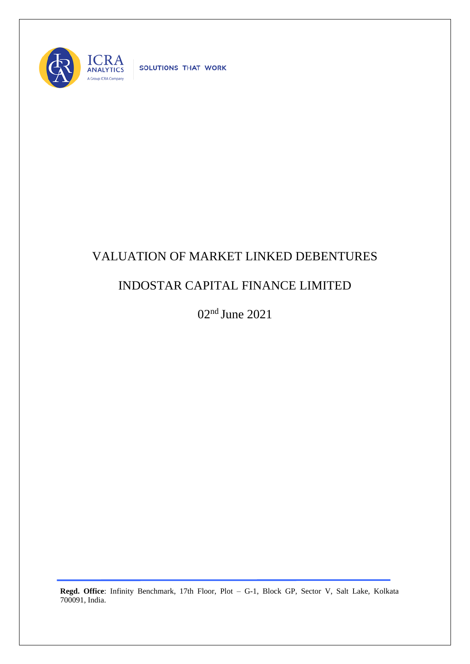

SOLUTIONS THAT WORK

## VALUATION OF MARKET LINKED DEBENTURES

## INDOSTAR CAPITAL FINANCE LIMITED

02nd June 2021

**Regd. Office**: Infinity Benchmark, 17th Floor, Plot – G-1, Block GP, Sector V, Salt Lake, Kolkata 700091, India.